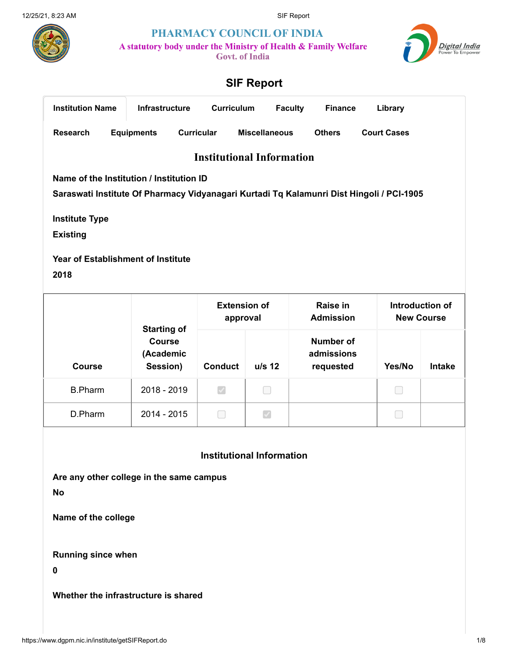

PHARMACY COUNCIL OF INDIA

A statutory body under the Ministry of Health & Family Welfare

Govt. of India



# SIF Report

<span id="page-0-0"></span>

| <b>Institution Name</b><br><b>Infrastructure</b> |                                          |                   | Curriculum        | <b>Faculty</b>      | <b>Finance</b>       | Library       |                                                                                          |  |  |  |
|--------------------------------------------------|------------------------------------------|-------------------|-------------------|---------------------|----------------------|---------------|------------------------------------------------------------------------------------------|--|--|--|
| <b>Research</b>                                  |                                          | <b>Equipments</b> | <b>Curricular</b> |                     | <b>Miscellaneous</b> | <b>Others</b> | <b>Court Cases</b>                                                                       |  |  |  |
|                                                  | <b>Institutional Information</b>         |                   |                   |                     |                      |               |                                                                                          |  |  |  |
|                                                  | Name of the Institution / Institution ID |                   |                   |                     |                      |               |                                                                                          |  |  |  |
|                                                  |                                          |                   |                   |                     |                      |               | Saraswati Institute Of Pharmacy Vidyanagari Kurtadi Tq Kalamunri Dist Hingoli / PCI-1905 |  |  |  |
| <b>Institute Type</b><br><b>Existing</b>         |                                          |                   |                   |                     |                      |               |                                                                                          |  |  |  |
| <b>Year of Establishment of Institute</b>        |                                          |                   |                   |                     |                      |               |                                                                                          |  |  |  |
| 2018                                             |                                          |                   |                   |                     |                      |               |                                                                                          |  |  |  |
|                                                  |                                          |                   |                   |                     |                      |               |                                                                                          |  |  |  |
|                                                  |                                          |                   |                   | <b>Extension of</b> |                      | Raise in      | Introduction of                                                                          |  |  |  |

|                | <b>Starting of</b>                     | <b>Extension of</b><br>approval |               | Raise in<br><b>Admission</b>                | Introduction of<br><b>New Course</b> |               |
|----------------|----------------------------------------|---------------------------------|---------------|---------------------------------------------|--------------------------------------|---------------|
| <b>Course</b>  | <b>Course</b><br>(Academic<br>Session) | <b>Conduct</b>                  | $u/s$ 12      | <b>Number of</b><br>admissions<br>requested | Yes/No                               | <b>Intake</b> |
| <b>B.Pharm</b> | 2018 - 2019                            | $\blacktriangledown$            |               |                                             | L                                    |               |
| D.Pharm        | 2014 - 2015                            |                                 | $\mathcal{S}$ |                                             |                                      |               |

#### Institutional Information

Are any other college in the same campus

No

Γ

Name of the college

Running since when

0

Whether the infrastructure is shared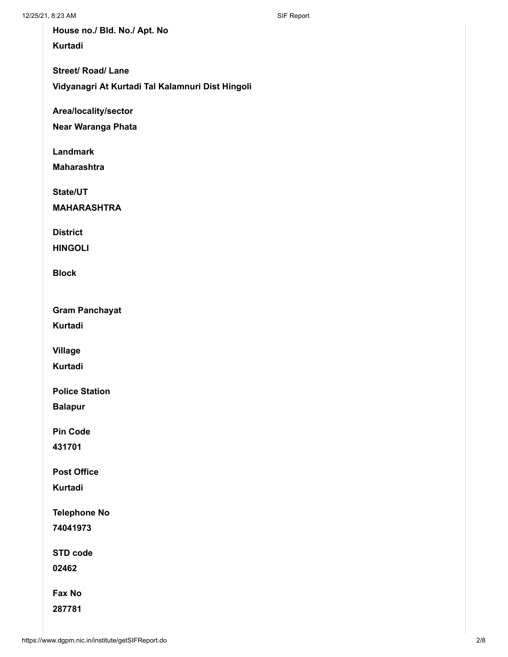House no./ Bld. No./ Apt. No Kurtadi

Street/ Road/ Lane

Vidyanagri At Kurtadi Tal Kalamnuri Dist Hingoli

Area/locality/sector

Near Waranga Phata

Landmark

Maharashtra

State/UT

MAHARASHTRA

**District** 

HINGOLI

Block

Gram Panchayat

Kurtadi

Village

Kurtadi

Police Station

Balapur

Pin Code

431701

Post Office

Kurtadi

Telephone No

74041973

STD code

02462

Fax No

287781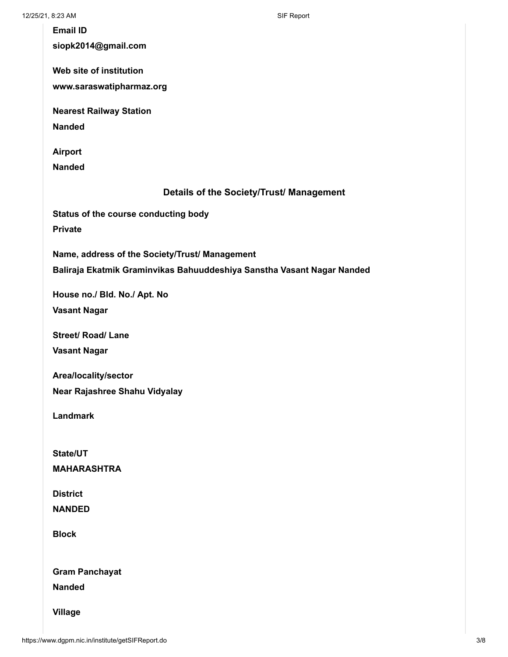| <b>Email ID</b>                                                        |
|------------------------------------------------------------------------|
| siopk2014@gmail.com                                                    |
| Web site of institution                                                |
| www.saraswatipharmaz.org                                               |
|                                                                        |
| <b>Nearest Railway Station</b>                                         |
| <b>Nanded</b>                                                          |
| <b>Airport</b>                                                         |
| <b>Nanded</b>                                                          |
|                                                                        |
| Details of the Society/Trust/ Management                               |
| Status of the course conducting body                                   |
| <b>Private</b>                                                         |
|                                                                        |
| Name, address of the Society/Trust/ Management                         |
| Baliraja Ekatmik Graminvikas Bahuuddeshiya Sanstha Vasant Nagar Nanded |
| House no./ Bld. No./ Apt. No                                           |
| <b>Vasant Nagar</b>                                                    |
|                                                                        |
| <b>Street/ Road/ Lane</b>                                              |
| <b>Vasant Nagar</b>                                                    |
| Area/locality/sector                                                   |
| Near Rajashree Shahu Vidyalay                                          |
|                                                                        |
| <b>Landmark</b>                                                        |
|                                                                        |
| State/UT                                                               |
| <b>MAHARASHTRA</b>                                                     |
| <b>District</b>                                                        |
| <b>NANDED</b>                                                          |
|                                                                        |
| <b>Block</b>                                                           |
|                                                                        |
| <b>Gram Panchayat</b>                                                  |
| <b>Nanded</b>                                                          |
|                                                                        |
| <b>Village</b>                                                         |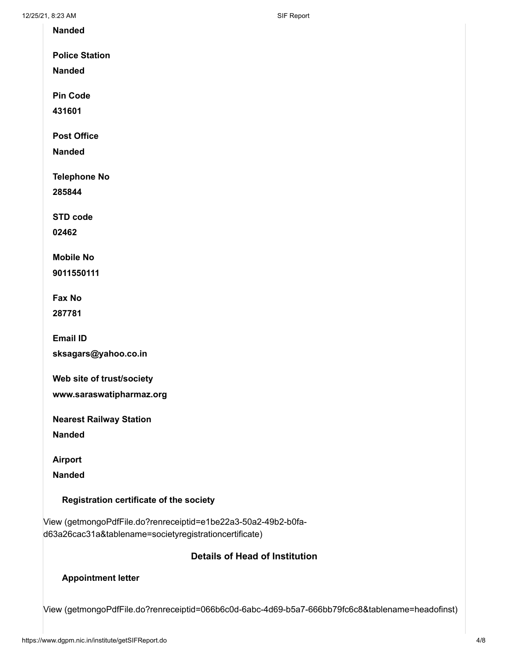Nanded

Police Station

Nanded

Pin Code

431601

Post Office

Nanded

Telephone No

285844

STD code

02462

Mobile No

9011550111

Fax No

287781

Email ID

sksagars@yahoo.co.in

Web site of trust/society

www.saraswatipharmaz.org

Nearest Railway Station

Nanded

Airport

Nanded

#### Registration certificate of the society

[View \(getmongoPdfFile.do?renreceiptid=e1be22a3-50a2-49b2-b0fa](https://www.dgpm.nic.in/institute/getmongoPdfFile.do?renreceiptid=e1be22a3-50a2-49b2-b0fa-d63a26cac31a&tablename=societyregistrationcertificate)d63a26cac31a&tablename=societyregistrationcertificate)

#### Details of Head of Institution

#### Appointment letter

[View \(getmongoPdfFile.do?renreceiptid=066b6c0d-6abc-4d69-b5a7-666bb79fc6c8&tablename=headofinst\)](https://www.dgpm.nic.in/institute/getmongoPdfFile.do?renreceiptid=066b6c0d-6abc-4d69-b5a7-666bb79fc6c8&tablename=headofinst)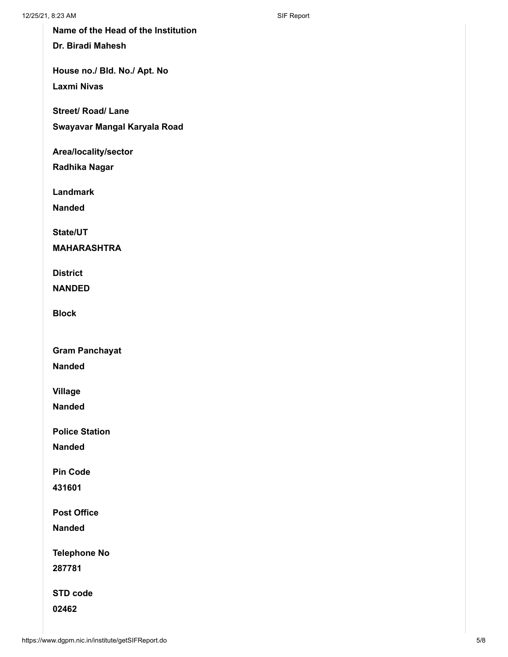Name of the Head of the Institution

Dr. Biradi Mahesh

House no./ Bld. No./ Apt. No Laxmi Nivas

Street/ Road/ Lane

Swayavar Mangal Karyala Road

Area/locality/sector

Radhika Nagar

Landmark

Nanded

State/UT

MAHARASHTRA

**District** 

NANDED

Block

Gram Panchayat

Nanded

Village

Nanded

Police Station

Nanded

Pin Code

431601

Post Office

Nanded

Telephone No

287781

STD code

02462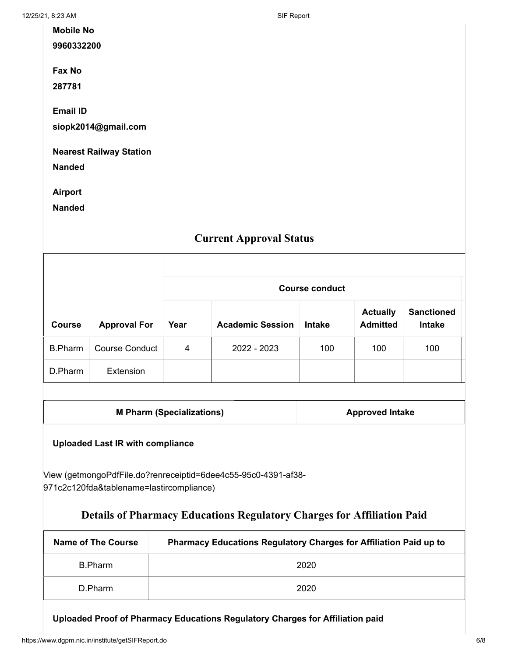12/25/21, 8:23 AM SIF Report

| <b>Mobile No</b>               |
|--------------------------------|
| 9960332200                     |
|                                |
| Fax No                         |
| 287781                         |
|                                |
| <b>Email ID</b>                |
| siopk2014@gmail.com            |
|                                |
| <b>Nearest Railway Station</b> |
| <b>Nanded</b>                  |
|                                |

Airport

Nanded

## Current Approval Status

|                |                       | <b>Course conduct</b> |                         |               |                                    |                                    |  |  |  |  |
|----------------|-----------------------|-----------------------|-------------------------|---------------|------------------------------------|------------------------------------|--|--|--|--|
| <b>Course</b>  | <b>Approval For</b>   | Year                  | <b>Academic Session</b> | <b>Intake</b> | <b>Actually</b><br><b>Admitted</b> | <b>Sanctioned</b><br><b>Intake</b> |  |  |  |  |
| <b>B.Pharm</b> | <b>Course Conduct</b> | 4                     | 2022 - 2023             | 100           | 100                                | 100                                |  |  |  |  |
| D.Pharm        | Extension             |                       |                         |               |                                    |                                    |  |  |  |  |

M Pharm (Specializations) M Pharm (Specializations)

### Uploaded Last IR with compliance

[View \(getmongoPdfFile.do?renreceiptid=6dee4c55-95c0-4391-af38-](https://www.dgpm.nic.in/institute/getmongoPdfFile.do?renreceiptid=6dee4c55-95c0-4391-af38-971c2c120fda&tablename=lastircompliance) 971c2c120fda&tablename=lastircompliance)

## Details of Pharmacy Educations Regulatory Charges for Affiliation Paid

| Name of The Course | <b>Pharmacy Educations Regulatory Charges for Affiliation Paid up to</b> |
|--------------------|--------------------------------------------------------------------------|
| B.Pharm            | 2020                                                                     |
| D.Pharm            | 2020                                                                     |

Uploaded Proof of Pharmacy Educations Regulatory Charges for Affiliation paid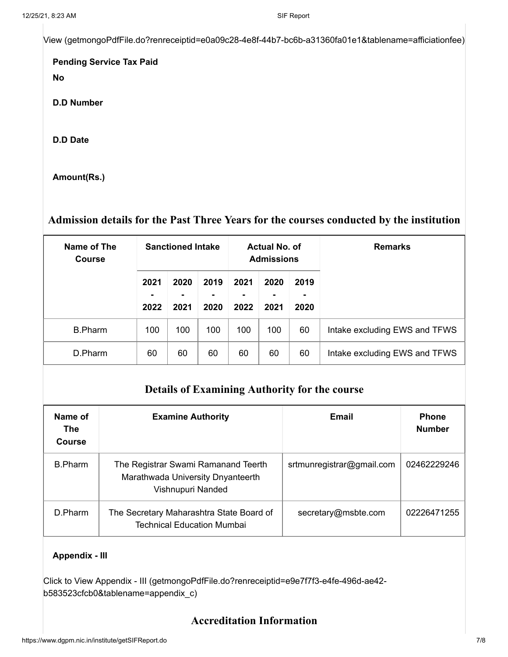[View \(getmongoPdfFile.do?renreceiptid=e0a09c28-4e8f-44b7-bc6b-a31360fa01e1&tablename=afficiationfee\)](https://www.dgpm.nic.in/institute/getmongoPdfFile.do?renreceiptid=e0a09c28-4e8f-44b7-bc6b-a31360fa01e1&tablename=afficiationfee)

Pending Service Tax Paid No

D.D Number

D.D Date

Amount(Rs.)

## Admission details for the Past Three Years for the courses conducted by the institution

| Name of The<br><b>Course</b> | <b>Sanctioned Intake</b> |                   |              | Actual No. of<br><b>Admissions</b> |                   |                   | <b>Remarks</b>                |  |
|------------------------------|--------------------------|-------------------|--------------|------------------------------------|-------------------|-------------------|-------------------------------|--|
|                              | 2021<br>۰<br>2022        | 2020<br>۰<br>2021 | 2019<br>2020 | 2021<br>۰<br>2022                  | 2020<br>۰<br>2021 | 2019<br>۰<br>2020 |                               |  |
| <b>B.Pharm</b>               | 100                      | 100               | 100          | 100                                | 100               | 60                | Intake excluding EWS and TFWS |  |
| D.Pharm                      | 60                       | 60                | 60           | 60                                 | 60                | 60                | Intake excluding EWS and TFWS |  |

## Details of Examining Authority for the course

| Name of<br><b>The</b><br>Course | <b>Examine Authority</b>                                                                      | Email                     | <b>Phone</b><br><b>Number</b> |
|---------------------------------|-----------------------------------------------------------------------------------------------|---------------------------|-------------------------------|
| B.Pharm                         | The Registrar Swami Ramanand Teerth<br>Marathwada University Dnyanteerth<br>Vishnupuri Nanded | srtmunregistrar@gmail.com | 02462229246                   |
| D.Pharm                         | The Secretary Maharashtra State Board of<br><b>Technical Education Mumbai</b>                 | secretary@msbte.com       | 02226471255                   |

#### Appendix - III

[Click to View Appendix - III \(getmongoPdfFile.do?renreceiptid=e9e7f7f3-e4fe-496d-ae42](https://www.dgpm.nic.in/institute/getmongoPdfFile.do?renreceiptid=e9e7f7f3-e4fe-496d-ae42-b583523cfcb0&tablename=appendix_c) b583523cfcb0&tablename=appendix\_c)

## Accreditation Information